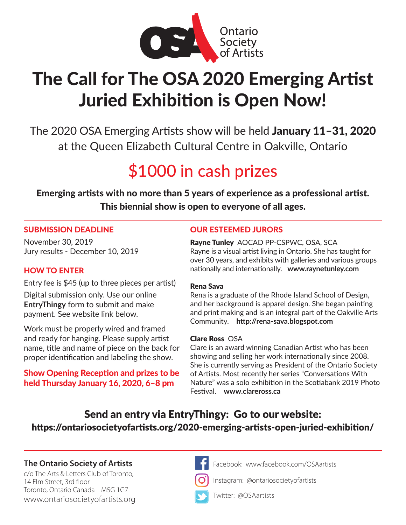

# The Call for The OSA 2020 Emerging Artist Juried Exhibition is Open Now!

The 2020 OSA Emerging Artists show will be held January 11–31, 2020 at the Queen Elizabeth Cultural Centre in Oakville, Ontario

## \$1000 in cash prizes

Emerging artists with no more than 5 years of experience as a professional artist. more than a years or experience as a<br>hial show is open to everyone of all a This biennial show is open to everyone of all ages.

### SUBMISSION DEADLINE

November 30, 2019 Jury results - December 10, 2019

## HOW TO ENTER

Entry fee is \$45 (up to three pieces per artist)

Digital submission only. Use our online **EntryThingy** form to submit and make payment. See website link below.

Work must be properly wired and framed and ready for hanging. Please supply artist name, title and name of piece on the back for proper identification and labeling the show.

## Show Opening Reception and prizes to be held Thursday January 16, 2020, 6–8 pm

## OUR ESTEEMED JURORS

Rayne Tunley AOCAD PP-CSPWC, OSA, SCA Rayne is a visual artist living in Ontario. She has taught for over 30 years, and exhibits with galleries and various groups nationally and internationally. **www.raynetunley.com**

### Rena Sava

Rena is a graduate of the Rhode Island School of Design, and her background is apparel design. She began painting and print making and is an integral part of the Oakville Arts Community. **http://rena-sava.blogspot.com**

#### Clare Ross OSA

Clare is an award winning Canadian Artist who has been showing and selling her work internationally since 2008. She is currently serving as President of the Ontario Society of Artists. Most recently her series "Conversations With Nature" was a solo exhibition in the Scotiabank 2019 Photo Festival. **www.clareross.ca**

## Send an entry via EntryThingy: Go to our website: https://ontariosocietyofartists.org/2020-emerging-artists-open-juried-exhibition/

## **The Ontario Society of Artists Facebook: www.facebook.com/OSAartists**

c/o The Arts & Letters Club of Toronto, 14 Elm Street, 3rd floor Toronto, Ontario Canada M5G 1G7 [www.ontariosocietyofartists.org](http://www.ontariosocietyofartists.org)



Instagram: @ontariosocietyofartists



Twitter: @OSAartists